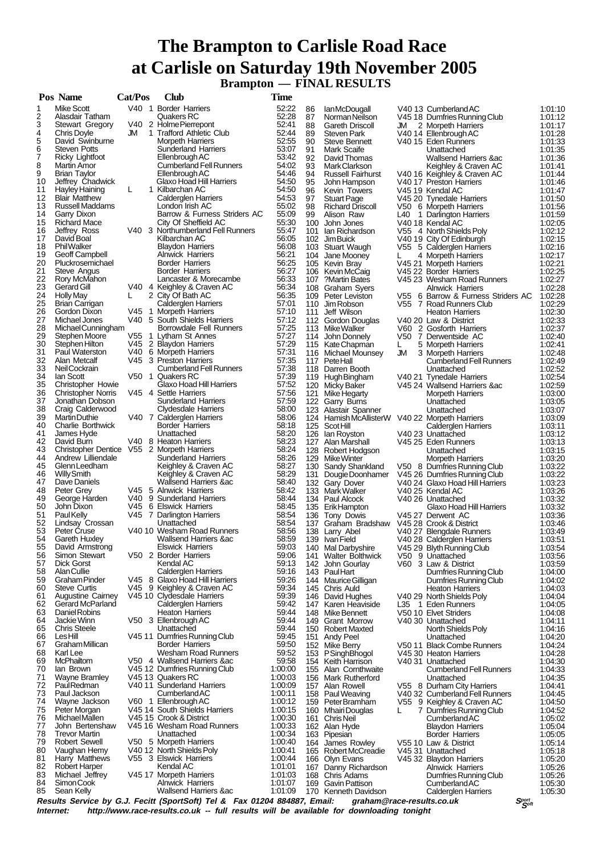# **The Brampton to Carlisle Road Race at Carlisle on Saturday 19th November 2005 Brampton — FINAL RESULTS**

|          | Pos Name                                   | Cat/Pos | Club                                                         | <b>Time</b>        |          |                                                |    |                                                             |                    |
|----------|--------------------------------------------|---------|--------------------------------------------------------------|--------------------|----------|------------------------------------------------|----|-------------------------------------------------------------|--------------------|
| 1        | <b>Mike Scott</b>                          |         | V40 1 Border Harriers                                        | 52:22              | 86       | lan McDougall                                  |    | V40 13 Cumberland AC                                        | 1:01:10            |
| 2        | Alasdair Tatham                            |         | Quakers RC                                                   | 52:28              | 87       | Norman Neilson                                 |    | V45 18 Dumfries Running Club                                | 1:01:12            |
| 3        | <b>Stewart Gregory</b>                     |         | V40 2 Holme Pierrepont                                       | 52:41              | 88       | <b>Gareth Driscoll</b>                         | JM | 2 Morpeth Harriers                                          | 1:01:17            |
| 4        | Chris Doyle                                | JM      | 1 Trafford Athletic Club                                     | 52:44              | 89       | <b>Steven Park</b>                             |    | V40 14 Ellenbrough AC                                       | 1:01:28            |
| 5<br>6   | David Swinburne<br><b>Steven Potts</b>     |         | <b>Morpeth Harriers</b><br><b>Sunderland Harriers</b>        | 52:55              | 90       | Steve Bennett                                  |    | V40 15 Eden Runners                                         | 1:01:33            |
| 7        | Ricky Lightfoot                            |         | Ellenbrough AC                                               | 53:07<br>53:42     | 91<br>92 | Mark Scaife<br>David Thomas                    |    | Unattached<br>Wallsend Harriers ∾                           | 1:01:35<br>1:01:36 |
| 8        | Martin Amor                                |         | <b>Cumberland Fell Runners</b>                               | 54:02              | 93       | Mark Clarkson                                  |    | Keighley & Craven AC                                        | 1:01:41            |
| 9        | <b>Brian Taylor</b>                        |         | Ellenbrough AC                                               | 54.46              | 94       | <b>Russell Fairhurst</b>                       |    | V40 16 Keighley & Craven AC                                 | 1:01:44            |
| 10       | Jeffrey Chadwick                           |         | Glaxo Hoad Hill Harriers                                     | 54:50              | 95       | John Hampson                                   |    | V40 17 Preston Harriers                                     | 1:01:46            |
| 11       | Hayley Haining                             | L       | 1 Kilbarchan AC                                              | 54:50              | 96       | Kevin Towers                                   |    | V45 19 Kendal AC                                            | 1:01:47            |
| 12       | <b>Blair Matthew</b>                       |         | Calderglen Harriers                                          | 54.53              | 97       | <b>Stuart Page</b>                             |    | V45 20 Tynedale Harriers                                    | 1:01:50            |
| 13       | <b>Russell Maddams</b>                     |         | London Irish AC                                              | 55:02              | 98       | <b>Richard Driscoll</b>                        |    | V50 6 Morpeth Harriers                                      | 1:01:56            |
| 14       | Garry Dixon                                |         | Barrow & Furness Striders AC                                 | 55:09              | 99       | Alison Raw                                     |    | L40 1 Darlington Harriers                                   | 1:01:59            |
| 15       | <b>Richard Mace</b>                        |         | City Of Sheffield AC                                         | 55:30              |          | 100 John Jones                                 |    | V40 18 Kendal AC                                            | 1:02:05            |
| 16       | Jeffrey Ross                               |         | V40 3 Northumberland Fell Runners                            | 55:47              |          | 101 Ian Richardson                             |    | V55 4 North Shields Poly                                    | 1:02:12            |
| 17<br>18 | David Boal<br><b>Phil Walker</b>           |         | Kilbarchan AC                                                | 56:05              |          | 102 Jim Buick                                  |    | V40 19 City Of Edinburgh                                    | 1:02:15            |
| 19       | Geoff Campbell                             |         | <b>Blaydon Harriers</b><br><b>Alnwick Harriers</b>           | 56:08<br>56:21     |          | 103 Stuart Waugh                               | L  | V55 5 Calderglen Harriers                                   | 1:02:16            |
| 20       | Pluckrosemichael                           |         | <b>Border Harriers</b>                                       | 56:25              | 104      | Jane Mooney<br>105 Kevin Bray                  |    | 4 Morpeth Harriers<br>V45 21 Morpeth Harriers               | 1:02:17<br>1:02:21 |
| 21       | Steve Angus                                |         | <b>Border Harriers</b>                                       | 56:27              |          | 106 Kevin McCaig                               |    | V45 22 Border Harriers                                      | 1:02:25            |
| 22       | Rory McMahon                               |         | Lancaster & Morecambe                                        | 56:33              | 107      | Martin Bates?                                  |    | V45 23 Wesham Road Runners                                  | 1:02:27            |
| 23       | Gerard Gill                                |         | V40 4 Keighley & Craven AC                                   | 56:34              |          | 108 Graham Syers                               |    | <b>Alnwick Harriers</b>                                     | 1:02:28            |
| 24       | <b>Holly May</b>                           | L       | 2 City Of Bath AC                                            | 56:35              |          | 109 Peter Leviston                             |    | V55 6 Barrow & Furness Striders AC                          | 1:02:28            |
| 25       | Brian Carrigan                             |         | Calderglen Harriers                                          | 57:01              |          | 110 Jim Robson                                 |    | V55 7 Road Runners Club                                     | 1:02:29            |
| 26       | Gordon Dixon                               |         | V45 1 Morpeth Harriers                                       | 57:10              | 111      | Jeff Wilson                                    |    | <b>Heaton Harriers</b>                                      | 1:02:30            |
| 27       | Michael Jones                              |         | V40 5 South Shields Harriers                                 | 57:12              |          | 112 Gordon Douglas                             |    | V40 20 Law & District                                       | 1:02:33            |
| 28       | Michael Cunningham                         |         | Borrowdale Fell Runners                                      | 57:25              |          | 113 Mike Walker                                |    | V60 2 Gosforth Harriers                                     | 1:02:37            |
| 29       | Stephen Moore                              | V55     | 1 Lytham St Annes                                            | 57:27              |          | 114 John Donnely                               |    | V50 7 Derwentside AC                                        | 1:02:40            |
| 30<br>31 | Stephen Hilton                             |         | V45 2 Blaydon Harriers                                       | 57:29<br>57:31     |          | 115 Kate Chapman                               | L. | 5 Morpeth Harriers                                          | 1:02:41            |
| 32       | Paul Waterston<br>Alan Metcalf             |         | V40 6 Morpeth Harriers<br>V45 3 Preston Harriers             | 57:35              |          | 116 Michael Mounsey                            | JM | 3 Morpeth Harriers                                          | 1:02:48<br>1:02:49 |
| 33       | Neil Cockrain                              |         | <b>Cumberland Fell Runners</b>                               | 57:38              |          | 117 PeteHall<br>118 Darren Booth               |    | <b>Cumberland Fell Runners</b><br>Unattached                | 1:02:52            |
| 34       | lan Scott                                  |         | V50 1 Quakers RC                                             | 57:39              |          | 119 Hugh Bingham                               |    | V40 21 Tynedale Harriers                                    | 1:02:54            |
| 35       | <b>Christopher Howie</b>                   |         | Glaxo Hoad Hill Harriers                                     | 57:52              |          | 120 Micky Baker                                |    | V45 24 Wallsend Harriers & ac                               | 1:02:59            |
| 36       | <b>Christopher Norris</b>                  |         | V45 4 Settle Harriers                                        | 57:56              | 121      | Mike Hegarty                                   |    | <b>Morpeth Harriers</b>                                     | 1:03:00            |
| 37       | Jonathan Dobson                            |         | <b>Sunderland Harriers</b>                                   | 57:59              |          | 122 Garry Burns                                |    | Unattached                                                  | 1:03:05            |
| 38       | Craig Calderwood                           |         | Clydesdale Harriers                                          | 58:00              | 123      | Alastair Spanner                               |    | Unattached                                                  | 1:03:07            |
| 39       | <b>MartinDuthie</b>                        |         | V40 7 Calderglen Harriers                                    | 58:06              |          | 124 Hamish McAllisterW V40 22 Morpeth Harriers |    |                                                             | 1:03:09            |
| 40       | Charlie Borthwick                          |         | <b>Border Harriers</b>                                       | 58:18              |          | 125 Scot Hill                                  |    | Calderglen Harriers                                         | 1:03:11            |
| 41       | James Hyde                                 |         | Unattached                                                   | 58:20              |          | 126 Ian Royston                                |    | V40 23 Unattached                                           | 1:03:12            |
| 42       | David Burn                                 |         | V40 8 Heaton Harriers                                        | 58:23              |          | 127 Alan Marshall                              |    | V45 25 Eden Runners                                         | 1:03:13            |
| 43<br>44 | Christopher Dentice V55 2 Morpeth Harriers |         |                                                              | 58:24<br>58:26     |          | 128 Robert Hodgson                             |    | Unattached                                                  | 1:03:15            |
| 45       | Andrew Lilliendale<br>Glenn Leedham        |         | <b>Sunderland Harriers</b><br>Keighley & Craven AC           | 58:27              |          | 129 Mike Winter                                |    | <b>Morpeth Harriers</b>                                     | 1:03:20            |
| 46       | <b>Willy Smith</b>                         |         | Keighley & Craven AC                                         | 58:29              |          | 130 Sandy Shankland<br>131 Dougie Doonhamer    |    | V50 8 Dumfries Running Club<br>V45 26 Dumfries Running Club | 1:03:22<br>1:03:22 |
| 47       | Dave Daniels                               |         | Wallsend Harriers ∾                                          | 58:40              |          | 132 Gary Dover                                 |    | V40 24 Glaxo Hoad Hill Harriers                             | 1:03:23            |
| 48       | Peter Grey                                 |         | V45 5 Alnwick Harriers                                       | 58:42              |          | 133 Mark Walker                                |    | V40 25 Kendal AC                                            | 1:03:26            |
| 49       | George Harden                              |         | V40 9 Sunderland Harriers                                    | 58:44              |          | 134 Paul Alcock                                |    | V40 26 Unattached                                           | 1:03:32            |
| 50       | John Dixon                                 |         | V45 6 Elswick Harriers                                       | 58.45              |          | 135 Erik Hampton                               |    | Glaxo Hoad Hill Harriers                                    | 1:03:32            |
| 51       | Paul Kelly                                 |         | V45 7 Darlington Harriers                                    | 58:54              |          | 136 Tony Dowis                                 |    | V45 27 Derwent AC                                           | 1:03:36            |
| 52       | Lindsay Crossan                            |         | Unattached                                                   | 58:54              |          | 137 Graham Bradshaw                            |    | V45 28 Crook & District                                     | 1:03:46            |
| 53       | Peter Cruse                                |         | V40 10 Wesham Road Runners                                   | 58.56              |          | 138 Larry Abel                                 |    | V40 27 Blengdale Runners                                    | 1:03:49            |
| 54       | Gareth Huxley                              |         | <b>Wallsend Harriers ∾</b>                                   | 58:59              |          | 139 Ivan Field                                 |    | V40 28 Calderglen Harriers                                  | 1:03:51            |
| 55       | David Armstrong<br>Simon Stewart           |         | <b>Elswick Harriers</b>                                      | 59:03              |          | 140 Mal Darbyshire                             |    | V45 29 Blyth Running Club                                   | 1:03:54            |
| 56<br>57 | <b>Dick Gorst</b>                          |         | V50 2 Border Harriers<br>Kendal AC                           | 59:06<br>59:13     |          | 141 Walter Bolthwick<br>142 John Gourlay       |    | V50 9 Unattached                                            | 1:03:56<br>1:03:59 |
| 58       | <b>AlanCullie</b>                          |         | <b>Calderglen Harriers</b>                                   | 59:16              |          | 143 PaulHart                                   |    | V60 3 Law & District<br>Dumfries Running Club               | 1:04:00            |
| 59       | Graham Pinder                              |         | V45 8 Glaxo Hoad Hill Harriers                               | 59:26              |          | 144 Maurice Gilligan                           |    | Dumfries Running Club                                       | 1:04:02            |
| 60       | <b>Steve Curtis</b>                        |         | V45 9 Keighley & Craven AC                                   | 59:34              |          | 145 Chris Auld                                 |    | <b>Heaton Harriers</b>                                      | 1:04:03            |
| 61       | <b>Augustine Cairney</b>                   |         | V45 10 Clydesdale Harriers                                   | 59:39              |          | 146 David Hughes                               |    | V40 29 North Shields Poly                                   | 1:04:04            |
| 62       | Gerard McParland                           |         | <b>Calderglen Harriers</b>                                   | 59:42              |          | 147 Karen Heaviside                            |    | L35 1 Eden Runners                                          | 1:04:05            |
| 63       | Daniel Robins                              |         | <b>Heaton Harriers</b>                                       | 59:44              |          | 148 Mike Bennett                               |    | V50 10 Elvet Striders                                       | 1:04:08            |
| 64       | Jackie Winn                                |         | V50 3 Ellenbrough AC                                         | 59:44              |          | 149 Grant Morrow                               |    | V40 30 Unattached                                           | 1:04:11            |
| 65       | <b>Chris Steele</b>                        |         | Unattached                                                   | 59:44              |          | 150 Robert Maxted                              |    | North Shields Poly                                          | 1:04:16            |
| 66       | LesHill                                    |         | V45 11 Dumfries Running Club                                 | 59:45              |          | 151 Andy Peel                                  |    | Unattached                                                  | 1:04:20            |
| 67       | Graham Millican                            |         | <b>Border Harriers</b>                                       | 59:50              |          | 152 Mike Berry                                 |    | V50 11 Black Combe Runners                                  | 1:04:24            |
| 68       | Karl Lee                                   |         | Wesham Road Runners                                          | 59:52              |          | 153 PSinghBhogol                               |    | V45 30 Heaton Harriers                                      | 1:04:28            |
| 69<br>70 | McPhailtom<br>lan Brown                    |         | V50 4 Wallsend Harriers & ac<br>V45 12 Dumfries Running Club | 59:58<br>1:00:00   |          | 154 Keith Harrison<br>155 Alan Cornthwaite     |    | V40 31 Unattached                                           | 1:04:30            |
| 71       | Wayne Bramley                              |         | V45 13 Quakers RC                                            | 1:00:03            |          | 156 Mark Rutherford                            |    | <b>Cumberland Fell Runners</b><br>Unattached                | 1:04:33<br>1:04:35 |
| 72       | Paul Redman                                |         | V40 11 Sunderland Harriers                                   | 1:00:09            |          | 157 Alan Rowell                                |    | V55 8 Durham City Harriers                                  | 1:04:41            |
| 73       | Paul Jackson                               |         | CumberlandAC                                                 | 1:00:11            |          | 158 Paul Weaving                               |    | V40 32 Cumberland Fell Runners                              | 1:04:45            |
| 74       | Wayne Jackson                              |         | V60 1 Ellenbrough AC                                         | 1:00:12            |          | 159 Peter Bramham                              |    | V55 9 Keighley & Craven AC                                  | 1:04:50            |
| 75       | Peter Morgan                               |         | V45 14 South Shields Harriers                                | 1:00:15            |          | 160 Mhairi Douglas                             | L. | 7 Dumfries Running Club                                     | 1:04:52            |
| 76       | <b>Michael Mallen</b>                      |         | V45 15 Crook & District                                      | 1:00:30            |          | 161 Chris Neil                                 |    | Cumberland AC                                               | 1:05:02            |
| 77       | John Bertenshaw                            |         | V45 16 Wesham Road Runners                                   | 1:00:33            |          | 162 Alan Hyde                                  |    | <b>Blaydon Harriers</b>                                     | 1:05:04            |
| 78       | <b>Trevor Martin</b>                       |         | Unattached                                                   | 1:00:34            |          | 163 Pipesian                                   |    | <b>Border Harriers</b>                                      | 1:05:05            |
| 79       | <b>Robert Sewell</b>                       |         | V50 5 Morpeth Harriers                                       | 1:00:40            |          | 164 James Rowley                               |    | V55 10 Law & District                                       | 1:05:14            |
| 80       | Vaughan Hemy                               |         | V40 12 North Shields Poly                                    | 1:00:41            |          | 165 Robert McCreadie                           |    | V45 31 Unattached                                           | 1:05:18            |
| 81       | Harry Matthews                             |         | V55 3 Elswick Harriers                                       | 1:00:44            |          | 166 Olyn Evans                                 |    | V45 32 Blaydon Harriers                                     | 1:05:20            |
| 82<br>83 | <b>Robert Harper</b><br>Michael Jeffrey    |         | Kendal AC<br>V45 17 Morpeth Harriers                         | 1:01:01<br>1:01:03 |          | 167 Danny Richardson<br>168 Chris Adams        |    | <b>Alnwick Harriers</b><br>Dumfries Running Club            | 1:05:26<br>1:05:26 |
| 84       | Simon Cook                                 |         | <b>Alnwick Harriers</b>                                      | 1:01:07            |          | 169 Gavin Pattison                             |    | <b>Cumberland AC</b>                                        | 1:05:30            |
| 85       | Sean Kelly                                 |         | <b>Wallsend Harriers ∾</b>                                   | 1:01:09            |          | 170 Kenneth Davidson                           |    | <b>Calderglen Harriers</b>                                  | 1:05:30            |
|          |                                            |         |                                                              | 0.4004004007       |          |                                                |    |                                                             |                    |

Results Service by G.J. Fecitt (SportSoft) Tel & Fax 01204 884887, Email: graham@race-results.co.uk Sഞ്ഞ<br>Internet: http://www.race-results.co.uk -- full results will be available for downloading tonight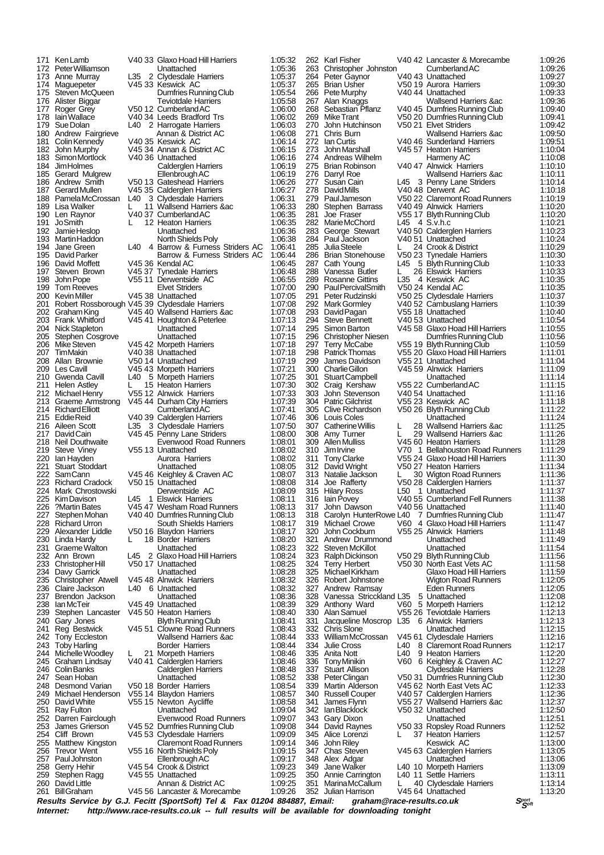| 171        | Ken Lamb                                                         |     | V40 33 Glaxo Hoad Hill Harriers                            | 1:05:32            |            | 262 Karl Fisher                                  |               | V40 42 Lancaster & Morecambe                                 | 1:09:26            |
|------------|------------------------------------------------------------------|-----|------------------------------------------------------------|--------------------|------------|--------------------------------------------------|---------------|--------------------------------------------------------------|--------------------|
| 173.       | 172 PeterWilliamson<br>Anne Murrav                               |     | Unattached<br>L35 2 Clydesdale Harriers                    | 1:05:36<br>1:05:37 |            | 263 Christopher Johnston<br>264 Peter Gaynor     |               | CumberlandAC<br>V40 43 Unattached                            | 1:09:26<br>1:09:27 |
|            | 174 Maguepeter                                                   |     | V45 33 Keswick AC                                          | 1:05:37            |            | 265 Brian Usher                                  |               | V50 19 Aurora Harriers                                       | 1:09:30            |
|            | 175 Steven McQueen                                               |     | Dumfries Running Club                                      | 1:05:54            |            | 266 Pete Murphy                                  |               | V4044 Unattached                                             | 1:09:33            |
| 176        | Alister Biggar                                                   |     | <b>Teviotdale Harriers</b><br>V50 12 Cumberland AC         | 1:05:58<br>1:06:00 | 267<br>268 | Alan Knaggs                                      |               | Wallsend Harriers ∾                                          | 1:09:36<br>1:09:40 |
| 178        | 177 Roger Grey<br>lain Wallace                                   |     | V40 34 Leeds Bradford Trs                                  | 1:06:02            |            | Sebastian Pflanz<br>269 Mike Trant               |               | V40 45 Dumfries Running Club<br>V50 20 Dumfries Running Club | 1:09:41            |
| 179        | Sue Dolan                                                        |     | L40 2 Harrogate Harriers                                   | 1:06:03            |            | 270 John Hutchinson                              |               | V50 21 Elvet Striders                                        | 1:09:42            |
| 180        | Andrew Fairgrieve                                                |     | Annan & District AC                                        | 1:06:08            | 271        | Chris Burn                                       |               | <b>Wallsend Harriers ∾</b>                                   | 1:09.50            |
| 181        | Colin Kennedy                                                    |     | V40 35 Keswick AC                                          | 1.06.14            |            | 272 Ian Curtis                                   |               | V40 46 Sunderland Harriers                                   | 1:09:51            |
| 183        | 182 John Murphy<br>Simon Mortlock                                |     | V45 34 Annan & District AC<br>V40 36 Unattached            | 1:06:15<br>1:06:16 | 273<br>274 | John Marshall<br>Andreas Wilhelm                 |               | V45 57 Heaton Harriers<br>Harmeny AC                         | 1:10:04<br>1:10:08 |
| 184        | Jim Holmes                                                       |     | Calderglen Harriers                                        | 1:06:19            |            | 275 Brian Robinson                               |               | V4047 Alnwick Harriers                                       | 1:10:10            |
|            | 185 Gerard Mulgrew                                               |     | Ellenbrough AC                                             | 1:06:19            |            | 276 Darryl Roe                                   |               | Wallsend Harriers ∾                                          | 1:10:11            |
| 187        | 186 Andrew Smith<br>Gerard Mullen                                |     | V50 13 Gateshead Harriers                                  | 1:06:26<br>1:06:27 |            | 277 Susan Cain<br>278 David Mills                |               | L45 3 Penny Lane Striders<br>V40 48 Derwent AC               | 1:10:14<br>1:10:18 |
|            | 188 Pamela McCrossan                                             |     | V45 35 Calderglen Harriers<br>L40 3 Clydesdale Harriers    | 1:06:31            |            | 279 Paul Jameson                                 |               | V50 22 Claremont Road Runners                                | 1:10:19            |
|            | 189 Lisa Walker                                                  | L.  | 11 Wallsend Harriers ∾                                     | 1:06:33            |            | 280 Stephen Barrass                              |               | V40 49 Alnwick Harriers                                      | 1:10:20            |
|            | 190 Len Raynor                                                   |     | V40 37 Cumberland AC                                       | 1:06:35            | 281        | Joe Fraser                                       |               | V55 17 Blyth Running Club                                    | 1:10:20            |
|            | 191 JoSmith<br>192 Jamie Heslop                                  | L   | 12 Heaton Harriers<br>Unattached                           | 1:06:35<br>1:06:36 | 283        | 282 Marie McChord                                | L45 4 S.v.h.c | V40 50 Calderglen Harriers                                   | 1:10:21<br>1:10:23 |
| 193        | Martin Haddon                                                    |     | North Shields Poly                                         | 1:06:38            |            | George Stewart<br>284 Paul Jackson               |               | V40 51 Unattached                                            | 1:10:24            |
|            | 194 Jane Green                                                   |     | L40 4 Barrow & Furness Striders AC                         | 1:06:41            |            | 285 Julia Steele                                 | L             | 24 Crook & District                                          | 1:10:29            |
|            | 195 David Parker                                                 |     | Barrow & Furness Striders AC                               | 1:06:44            | 286        | <b>Brian Stonehouse</b>                          |               | V50 23 Tynedale Harriers                                     | 1:10:30            |
| 196        | David Moffett<br>197 Steven Brown                                |     | V45 36 Kendal AC<br>V45 37 Tynedale Harriers               | 1:06:45<br>1:06:48 |            | 287 Cath Young<br>288 Vanessa Butler             | L45<br>L      | 5 Blyth Running Club<br>26 Elswick Harriers                  | 1:10:33<br>1:10:33 |
| 198        | John Pope                                                        |     | V55 11 Derwentside AC                                      | 1:06:55            | 289        | Rosanne Gittins                                  |               | L35 4 Keswick AC                                             | 1:10:35            |
| 199        | <b>Tom Reeves</b>                                                |     | <b>Elvet Striders</b>                                      | 1:07:00            |            | 290 Paul Percival Smith                          |               | V50 24 Kendal AC                                             | 1:10:35            |
|            | 200 Kevin Miller                                                 |     | V45 38 Unattached                                          | 1:07:05            |            | 291 Peter Rudzinski                              |               | V50 25 Clydesdale Harriers                                   | 1:10:37            |
| 201        | Robert Rossborough V45 39 Clydesdale Harriers<br>202 Graham King |     | V45 40 Wallsend Harriers & ac                              | 1:07:08<br>1:07:08 |            | 292 Mark Gormley<br>293 David Pagan              |               | V40 52 Cambuslang Harriers<br>V55 18 Unattached              | 1:10:39<br>1:10:40 |
|            | 203 Frank Whitford                                               |     | V45 41 Houghton & Peterlee                                 | 1:07:13            |            | 294 Steve Bennett                                |               | V40 53 Unattached                                            | 1:10:54            |
|            | 204 Nick Stapleton                                               |     | Unattached                                                 | 1:07:14            |            | 295 Simon Barton                                 |               | V45 58 Glaxo Hoad Hill Harriers                              | 1:10:55            |
|            | 205 Stephen Cosgrove                                             |     | Unattached                                                 | 1:07:15            |            | 296 Christopher Niesen                           |               | Dumfries Running Club                                        | 1:10:56            |
| 206        | Mike Steven<br>207 TimMakin                                      |     | V45 42 Morpeth Harriers<br>V40 38 Unattached               | 1:07:18<br>1:07:18 | 297        | Terry McCabe<br>298 Patrick Thomas               |               | V55 19 Blyth Running Club<br>V55 20 Glaxo Hoad Hill Harriers | 1:10:59<br>1:11:01 |
|            | 208 Allan Brownie                                                |     | V50 14 Unattached                                          | 1:07:19            | 299        | James Davidson                                   |               | V55 21 Unattached                                            | 1:11:04            |
|            | 209 Les Cavill                                                   |     | V45 43 Morpeth Harriers                                    | 1.07.21            |            | 300 Charlie Gillon                               |               | V45 59 Alnwick Harriers                                      | 1:11:09            |
|            | 210 Gwenda Cavill                                                | L40 | 5 Morpeth Harriers                                         | 1:07:25            |            | 301 Stuart Campbell                              |               | Unattached                                                   | 1:11:14            |
|            | 211 Helen Astley<br>212 Michael Henry                            | L   | 15 Heaton Harriers<br>V55 12 Alnwick Harriers              | 1:07:30<br>1:07:33 |            | 302 Craig Kershaw<br>303 John Stevenson          |               | V55 22 Cumberland AC<br>V40 54 Unattached                    | 1:11:15<br>1:11:16 |
|            | 213 Graeme Armstrong                                             |     | V4544 Durham City Harriers                                 | 1:07:39            |            | 304 Patric Gilchrist                             |               | V55 23 Keswick AC                                            | 1:11:18            |
|            | 214 Richard Elliott                                              |     | CumberlandAC                                               | 1:07:41            |            | 305 Clive Richardson                             |               | V50 26 Blyth Running Club                                    | 1:11:22            |
|            | 215 Eddie Reid                                                   |     | V40 39 Calderglen Harriers                                 | 1:07:46            |            | 306 Louis Coles                                  |               | Unattached                                                   | 1:11:24            |
| 217        | 216 Aileen Scott<br>David Cain                                   | L35 | 3 Clydesdale Harriers<br>V45 45 Penny Lane Striders        | 1:07:50<br>1:08:00 | 307        | Catherine Willis<br>308 Amy Turner               | L<br>L        | 28 Wallsend Harriers ∾<br>29 Wallsend Harriers ∾             | 1:11:25<br>1:11:26 |
|            | 218 Neil Douthwaite                                              |     | Evenwood Road Runners                                      | 1:08:01            |            | 309 Allen Mulliss                                |               | V45 60 Heaton Harriers                                       | 1:11:28            |
| 219        | Steve Viney                                                      |     | V55 13 Unattached                                          | 1:08:02            | 310        | Jim Irvine                                       |               | V70 1 Bellahouston Road Runners                              | 1:11:29            |
| 220        | lan Hayden                                                       |     | Aurora Harriers                                            | 1:08:02            |            | 311 Tony Clarke                                  |               | V55 24 Glaxo Hoad Hill Harriers                              | 1:11:30            |
| 221<br>222 | <b>Stuart Stoddart</b><br><b>SamCann</b>                         |     | Unattached<br>V45 46 Keighley & Craven AC                  | 1:08:05<br>1:08:07 |            | 312 David Wright<br>313 Natalie Jackson          | L             | V50 27 Heaton Harriers<br>30 Wigton Road Runners             | 1:11:34<br>1:11:36 |
| 223        | <b>Richard Cradock</b>                                           |     | V50 15 Unattached                                          | 1:08:08            | 314        | Joe Rafferty                                     |               | V50 28 Calderglen Harriers                                   | 1:11:37            |
|            | 224 Mark Chrostowski                                             |     | Derwentside AC                                             | 1:08:09            |            | 315 Hilary Ross                                  |               | L50 1 Unattached                                             | 1:11:37            |
|            | 225 KimDavison                                                   |     | L45 1 Elswick Harriers                                     | 1:08:11            |            | 316 Iain Povey                                   |               | V40 55 Cumberland Fell Runners                               | 1:11:38            |
| 227        | 226 ?Martin Bates<br>Stephen Mohan                               |     | V45 47 Wesham Road Runners<br>V40 40 Dumfries Running Club | 1:08:13<br>1:08:13 |            | 317 John Dawson<br>318 Carolyn HunterRowe L40    |               | V40 56 Unattached<br>7 Dumfries Running Club                 | 1:11:40<br>1 11 47 |
|            | 228 Richard Urron                                                |     | South Shields Harriers                                     | 1:08:17            |            | 319 Michael Crowe                                |               | V60 4 Glaxo Hoad Hill Harriers                               | 1:11:47            |
| 229        | Alexander Liddle                                                 |     | V50 16 Blaydon Harriers                                    | 1:08:17            | 320        | John Cockburn                                    |               | V55 25 Alnwick Harriers                                      | 1:11:48            |
| 230        | Linda Hardy                                                      | L.  | 18 Border Harriers                                         | 1:08:20            | 321        | Andrew Drummond                                  |               | Unattached                                                   | 1:11:49            |
| 231        | Graeme Walton<br>232 Ann Brown                                   |     | Unattached<br>L45 2 Glaxo Hoad Hill Harriers               | 1:08:23<br>1:08:24 |            | 322 Steven McKillot<br>323 Ralph Dickinson       |               | Unattached<br>V50 29 Blyth Running Club                      | 1:11:54<br>1:11:56 |
|            | 233 Christopher Hill                                             |     | V50 17 Unattached                                          | 1:08:25            |            | 324 Terry Herbert                                |               | V50 30 North East Vets AC                                    | 1:11:58            |
|            | 234 Davy Garrick                                                 |     | Unattached                                                 | 1:08:28            |            | 325 Michael Kirkham                              |               | Glaxo Hoad Hill Harriers                                     | 1:11:59            |
|            | 235 Christopher Atwell                                           |     | V4548 Alnwick Harriers                                     | 1:08:32            |            | 326 Robert Johnstone                             |               | <b>Wigton Road Runners</b>                                   | 1:12:05            |
|            | 236 Claire Jackson<br>237 Brendon Jackson                        |     | L <sub>40</sub> 6 Unattached<br>Unattached                 | 1:08:32<br>1:08:36 |            | 327 Andrew Ramsay<br>328 Vanessa Stricckland L35 |               | Eden Runners<br>5 Unattached                                 | 1:12:05<br>1:12:08 |
|            | 238 Ian McTeir                                                   |     | V4549 Unattached                                           | 1:08:39            |            | 329 Anthony Ward                                 |               | V60 5 Morpeth Harriers                                       | 1:12:12            |
| 239        | Stephen Lancaster                                                |     | V45 50 Heaton Harriers                                     | 1:08:40            |            | 330 Alan Samuel                                  |               | V55 26 Teviotdale Harriers                                   | 1:12:13            |
|            | 240 Gary Jones                                                   |     | Blyth Running Club<br>V45 51 Clowne Road Runners           | 1:08:41            | 331        | Jacqueline Moscrop L35<br>332 Chris Slone        |               | 6 Alnwick Harriers<br>Unattached                             | 1:12:13<br>1:12:15 |
| 241<br>242 | Reg Bestwick<br><b>Tony Eccleston</b>                            |     | <b>Wallsend Harriers ∾</b>                                 | 1:08:43<br>1:08:44 |            | 333 William McCrossan                            |               | V45 61 Clydesdale Harriers                                   | 1:12:16            |
|            | 243 Toby Harling                                                 |     | <b>Border Harriers</b>                                     | 1:08:44            | 334        | <b>Julie Cross</b>                               | L40           | 8 Claremont Road Runners                                     | 1:12:17            |
|            | 244 Michelle Woodley                                             |     | 21 Morpeth Harriers                                        | 1:08:46            |            | 335 Anita Nott                                   | L40           | 9 Heaton Harriers                                            | 1:12:20            |
|            | 245 Graham Lindsay                                               |     | V40 41 Calderglen Harriers                                 | 1:08:46            |            | 336 Tony Minikin                                 |               | V60 6 Keighley & Craven AC                                   | 1:12:27            |
|            | 246 Colin Banks<br>247 Sean Hoban                                |     | Calderglen Harriers<br>Unattached                          | 1:08:48<br>1:08:52 | 337        | Stuart Allison<br>338 PeterClingan               |               | <b>Clydesdale Harriers</b><br>V50 31 Dumfries Running Club   | 1:12:28<br>1:12:30 |
|            | 248 Desmond Varian                                               |     | V50 18 Border Harriers                                     | 1:08:54            |            | 339 Martin Alderson                              |               | V45 62 North East Vets AC                                    | 1:12:33            |
|            | 249 Michael Henderson                                            |     | V55 14 Blaydon Harriers                                    | 1:08:57            |            | 340 Russell Couper                               |               | V40 57 Calderglen Harriers                                   | 1:12:36            |
|            | 250 David White                                                  |     | V55 15 Newton Aycliffe                                     | 1:08:58            | 341        | James Flynn                                      |               | V55 27 Wallsend Harriers & ac                                | 1:12:37            |
| 251        | <b>Ray Fulton</b><br>252 Darren Fairclough                       |     | Unattached<br>Evenwood Road Runners                        | 1:09:04<br>1:09:07 |            | 342 Ian Blacklock<br>343 Gary Dixon              |               | V50 32 Unattached<br>Unattached                              | 1:12:50<br>1:12:51 |
| 253        | James Grierson                                                   |     | V45 52 Dumfries Running Club                               | 1:09:08            |            | 344 David Raynes                                 |               | V50 33 Ropsley Road Runners                                  | 1:12:52            |
|            | 254 Cliff Brown                                                  |     | V45 53 Clydesdale Harriers                                 | 1:09:09            |            | 345 Alice Lorenzi                                | L             | 37 Heaton Harriers                                           | 1:12:57            |
|            | 255 Matthew Kingston                                             |     | <b>Claremont Road Runners</b>                              | 1:09:14            | 346        | John Riley                                       |               | Keswick AC                                                   | 1:13:00            |
| 256        | <b>Trevor Went</b><br>257 Paul Johnston                          |     | V55 16 North Shields Poly<br>Ellenbrough AC                | 1:09:15<br>1:09:17 | 347        | <b>Chas Steven</b><br>348 Alex Adgar             |               | V45 63 Calderglen Harriers<br>Unattached                     | 1:13:05<br>1:13:06 |
|            | 258 Gerry Hehir                                                  |     | V45 54 Crook & District                                    | 1:09:23            | 349        | Jane Walker                                      |               | L40 10 Morpeth Harriers                                      | 1:13:09            |
| 259        | Stephen Ragg                                                     |     | V45 55 Unattached                                          | 1:09:25            |            | 350 Annie Carrington                             |               | L40 11 Settle Harriers                                       | 1:13:11            |
| 260        | David Little                                                     |     | Annan & District AC                                        | 1:09:25            | 351        | <b>MarinaMcCallum</b>                            | L             | 40 Clydesdale Harriers                                       | 1:13:14            |
|            | 261 BillGraham                                                   |     | V45 56 Lancaster & Morecambe                               | 1:09:26            |            | 352 Julian Harrison                              |               | V45 64 Unattached                                            | 1:13:20            |

Results Service by G.J. Fecitt (SportSoft) Tel & Fax 01204 884887, Email: graham@race-results.co.uk Sഞ്ഞ<br>Internet: http://www.race-results.co.uk -- full results will be available for downloading tonight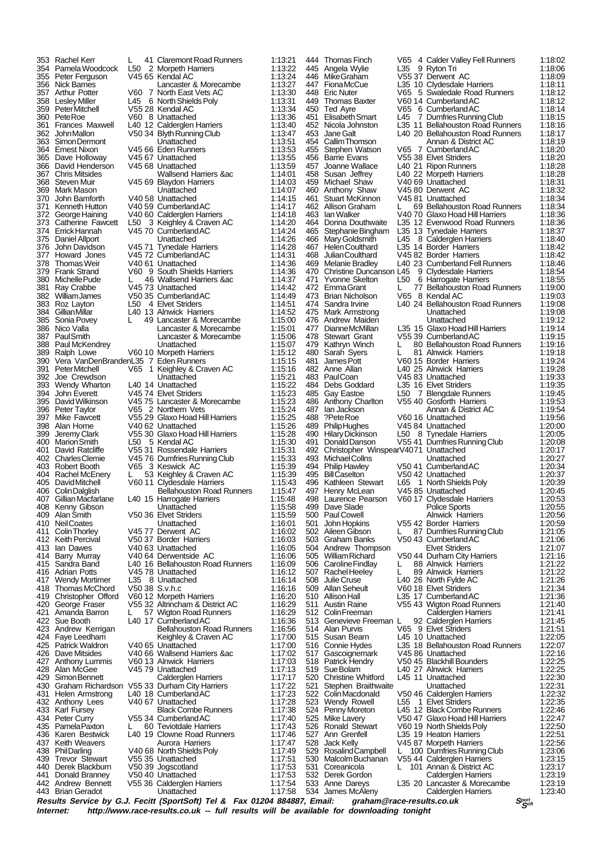|      | 353 Rachel Kerr                                   | L.             | 41 Claremont Road Runners        | 1:13:21 | 444 | <b>Thomas Finch</b>                      | V65 | 4 Calder Valley Fell Runners     | 1:18:02 |  |
|------|---------------------------------------------------|----------------|----------------------------------|---------|-----|------------------------------------------|-----|----------------------------------|---------|--|
| 354  | Pamela Woodcock                                   | L50            | 2 Morpeth Harriers               | 1:13:22 |     | 445 Angela Wylie                         | L35 | 9 Ryton Tri                      | 1:18:06 |  |
|      |                                                   |                |                                  |         |     |                                          |     |                                  |         |  |
|      | 355 Peter Ferguson                                |                | V45 65 Kendal AC                 | 1:13:24 |     | 446 Mike Graham                          |     | V55 37 Derwent AC                | 1:18:09 |  |
|      | 356 Nick Barnes                                   |                | Lancaster & Morecambe            | 1:13:27 |     | 447 FionaMcCue                           |     | L35 10 Clydesdale Harriers       | 1:18:11 |  |
|      | 357 Arthur Potter                                 |                | V60 7 North East Vets AC         | 1:13:30 |     | 448 Eric Nuter                           |     | V65 5 Swaledale Road Runners     | 1:18:12 |  |
|      | 358 Lesley Miller                                 |                | L45 6 North Shields Poly         | 1:13:31 |     | 449 Thomas Baxter                        |     | V60 14 Cumberland AC             | 1:18:12 |  |
|      | 359 PeterMitchell                                 |                | V55 28 Kendal AC                 | 1:13:34 |     | 450 Ted Ayre                             |     | V65 6 Cumberland AC              | 1:18:14 |  |
|      | 360 Pete Roe                                      |                | V60 8 Unattached                 | 1:13:36 |     | 451 Elisabeth Smart                      |     | L45 7 Dumfries Running Club      | 1:18:15 |  |
| 361  | <b>Frances Maxwell</b>                            |                | L40 12 Calderglen Harriers       | 1:13:40 |     | 452 Nicola Johnston                      |     | L35 11 Bellahouston Road Runners | 1:18:16 |  |
|      |                                                   |                |                                  |         |     |                                          |     |                                  |         |  |
|      | 362 JohnMallon                                    |                | V50 34 Blyth Running Club        | 1:13:47 |     | 453 Jane Galt                            |     | L40 20 Bellahouston Road Runners | 1:18:17 |  |
| 363  | Simon Dermont                                     |                | Unattached                       | 1:13:51 |     | 454 Callim Thomson                       |     | Annan & District AC              | 1:18:19 |  |
|      | 364 Ernest Nixon                                  |                | V45 66 Eden Runners              | 1:13:53 |     | 455 Stephen Watson                       |     | V65 7 Cumberland AC              | 1:18:20 |  |
|      | 365 Dave Holloway                                 |                | V45 67 Unattached                | 1:13:55 |     | 456 Barrie Evans                         |     | V55 38 Elvet Striders            | 1:18:20 |  |
|      | 366 David Henderson                               |                | V45 68 Unattached                | 1:13:59 |     | 457 Joanne Wallace                       |     | L40 21 Ripon Runners             | 1:18:28 |  |
|      |                                                   |                |                                  |         |     |                                          |     |                                  |         |  |
|      | 367 Chris Mitsides                                |                | Wallsend Harriers ∾              | 1:14:01 |     | 458 Susan Jeffrey                        |     | L40 22 Morpeth Harriers          | 1:18:28 |  |
|      | 368 Steven Muir                                   |                | V45 69 Blaydon Harriers          | 1:14:03 |     | 459 Michael Shaw                         |     | V40 69 Unattached                | 1:18:31 |  |
|      | 369   Mark Mason                                  |                | Unattached                       | 1:14:07 |     | 460 Anthony Shaw                         |     | V45 80 Derwent AC                | 1:18:32 |  |
| 370  | John Bamforth                                     |                | V40 58 Unattached                | 1:14:15 |     | 461 Stuart McKinnon                      |     | V45 81 Unattached                | 1:18:34 |  |
| 371  | Kenneth Hutton                                    |                | V40 59 Cumberland AC             | 1:14:17 |     | 462 Allison Graham                       | L   | 69 Bellahouston Road Runners     | 1:18:34 |  |
|      |                                                   |                |                                  |         |     |                                          |     |                                  |         |  |
|      | 372 George Haining                                |                | V40 60 Calderglen Harriers       | 1:14:18 |     | 463 Ian Walker                           |     | V40 70 Glaxo Hoad Hill Harriers  | 1:18:36 |  |
|      | 373 Catherine Fawcett                             |                | L50 3 Keighley & Craven AC       | 1:14:20 |     | 464 Donna Douthwaite                     |     | L35 12 Evenwood Road Runners     | 1:18:36 |  |
|      | 374 Errick Hannah                                 |                | V4570 Cumberland AC              | 1:14:24 |     | 465 Stephanie Bingham                    |     | L35 13 Tynedale Harriers         | 1:18:37 |  |
|      | 375 Daniel Allport                                |                | Unattached                       | 1:14:26 |     | 466 Mary Goldsmith                       |     | L45 8 Calderglen Harriers        | 1:18:40 |  |
| 376  | John Davidson                                     |                | V45 71 Tynedale Harriers         | 1:14:28 |     | 467 Helen Coulthard                      |     | L35 14 Border Harriers           | 1:18:42 |  |
|      | 377 Howard Jones                                  |                | V45 72 Cumberland AC             | 1:14:31 |     | 468 Julian Coulthard                     |     | V45 82 Border Harriers           | 1:18:42 |  |
|      |                                                   |                |                                  |         |     |                                          |     |                                  |         |  |
| 378  | Thomas Weir                                       |                | V40 61 Unattached                | 1:14:36 |     | 469 Melanie Bradley                      |     | L40 23 Cumberland Fell Runners   | 1:18:46 |  |
| 379  | <b>Frank Strand</b>                               |                | V60 9 South Shields Harriers     | 1:14:36 |     | 470 Christine Duncanson L45              |     | 9 Clydesdale Harriers            | 1:18:54 |  |
|      | 380 Michelle Pude                                 | L              | 46 Wallsend Harriers ∾           | 1:14:37 |     | 471 Yvonne Skelton                       | L50 | 6 Harrogate Harriers             | 1:18:55 |  |
| 381  | Ray Crabbe                                        |                | V45 73 Unattached                | 1:14:42 |     | 472 EmmaGrant                            | L.  | 77 Bellahouston Road Runners     | 1:19:00 |  |
|      | 382 WilliamJames                                  |                | V50 35 Cumberland AC             | 1:14:49 |     | 473 Brian Nicholson                      |     | V65 8 Kendal AC                  | 1:19:03 |  |
|      | 383 Roz Layton                                    | L50            | 4 Elvet Striders                 | 1:14:51 |     | 474 Sandra Irvine                        |     | L40 24 Bellahouston Road Runners | 1:19:08 |  |
|      |                                                   |                |                                  |         |     |                                          |     |                                  |         |  |
|      | 384 Gillian Millar                                |                | L40 13 Alnwick Harriers          | 1:14:52 |     | 475 Mark Armstrong                       |     | Unattached                       | 1:19:08 |  |
|      | 385 Sonia Povey                                   | L.             | 49 Lancaster & Morecambe         | 1:15:00 |     | 476 Andrew Maiden                        |     | Unattached                       | 1:19:12 |  |
|      | 386 Nico Valla                                    |                | Lancaster & Morecambe            | 1:15:01 |     | 477 Dianne McMillan                      |     | L35 15 Glaxo Hoad Hill Harriers  | 1:19:14 |  |
|      | 387 PaulSmith                                     |                | Lancaster & Morecambe            | 1:15:06 |     | 478 Stewart Grant                        |     | V55 39 Cumberland AC             | 1:19:15 |  |
|      | 388 Paul McKendrev                                |                | Unattached                       | 1:15:07 |     | 479 Kathryn Winch                        | L.  | 80 Bellahouston Road Runners     | 1:19:16 |  |
|      |                                                   |                |                                  |         |     |                                          | L   |                                  |         |  |
|      | 389 Ralph Lowe                                    |                | V60 10 Morpeth Harriers          | 1:15:12 |     | 480 Sarah Syers                          |     | 81 Alnwick Harriers              | 1:19:18 |  |
| 390- | Vera VanDenBrandenL35 7 Eden Runners              |                |                                  | 1:15:15 | 481 | James Pott                               |     | V60 15 Border Harriers           | 1:19:24 |  |
| 391  | <b>PeterMitchell</b>                              |                | V65 1 Keighley & Craven AC       | 1:15:16 |     | 482 Anne Allan                           |     | L40 25 Alnwick Harriers          | 1:19:28 |  |
|      | 392 Joe Crewdson                                  |                | Unattached                       | 1:15.21 |     | 483 PaulCoan                             |     | V4583 Unattached                 | 1:19:33 |  |
|      | 393 Wendy Wharton                                 |                | L40 14 Unattached                | 1:15:22 |     | 484 Debs Goddard                         |     | L35 16 Elvet Striders            | 1:19:35 |  |
|      | 394 John Everett                                  |                | V45 74 Elvet Striders            | 1:15:23 |     | 485 Gay Eastoe                           |     | L50 7 Blengdale Runners          | 1:19:45 |  |
|      |                                                   |                |                                  |         |     |                                          |     |                                  |         |  |
|      | 395 David Wilkinson                               |                | V45 75 Lancaster & Morecambe     | 1:15:23 |     | 486 Anthony Charlton                     |     | V55 40 Gosforth Harriers         | 1:19:53 |  |
|      | 396 Peter Taylor                                  |                | V65 2 Northern Vets              | 1:15:24 |     | 487 lan Jackson                          |     | Annan & District AC              | 1:19:54 |  |
|      | 397 Mike Fawcett                                  |                | V55 29 Glaxo Hoad Hill Harriers  | 1:15:25 |     | 488 ?Pete Roe                            |     | V60 16 Unattached                | 1:19:56 |  |
|      | 398 Alan Horne                                    |                | V40 62 Unattached                | 1:15:26 |     | 489 Philip Hughes                        |     | V45 84 Unattached                | 1:20:00 |  |
| 399  | Jeremy Clark                                      |                | V55 30 Glaxo Hoad Hill Harriers  | 1:15:28 |     | 490 Hilary Dickinson                     |     | L50 8 Tynedale Harriers          | 1:20:05 |  |
|      |                                                   |                |                                  |         |     |                                          |     |                                  |         |  |
|      | 400 Marion Smith                                  |                | L50 5 Kendal AC                  | 1:15:30 |     | 491 Donald Danson                        |     | V55 41 Dumfries Running Club     | 1:20:08 |  |
| 401  | David Ratcliffe                                   |                | V55 31 Rossendale Harriers       | 1:15:31 |     | 492 Christopher WinspearV4071 Unattached |     |                                  | 1:20:17 |  |
|      | 402 CharlesClemie                                 |                | V45 76 Dumfries Running Club     | 1:15:33 |     | 493 Michael Collns                       |     | Unattached                       | 1:20:27 |  |
| 403. | Robert Booth                                      |                | V65 3 Keswick AC                 | 1:15:39 |     | 494 Philip Hawley                        |     | V50 41 Cumberland AC             | 1:20:34 |  |
|      | 404 Rachel McEnery                                | L.             | 53 Keighley & Craven AC          | 1:15:39 |     | 495 Bill Caselton                        |     | V50 42 Unattached                | 1:20:37 |  |
|      | 405 DavidMitchell                                 |                | V60 11 Clydesdale Harriers       | 1:15:43 |     | 496 Kathleen Stewart                     |     | L65 1 North Shields Poly         | 1:20:39 |  |
|      |                                                   |                |                                  |         |     |                                          |     |                                  |         |  |
|      | 406 Colin Dalglish                                |                | <b>Bellahouston Road Runners</b> | 1:15:47 | 497 | Henry McLean                             |     | V45 85 Unattached                | 1:20:45 |  |
|      | 407 Gillian Macfarlane                            |                | L40 15 Harrogate Harriers        | 1:15:48 |     | 498 Laurence Pearson                     |     | V60 17 Clydesdale Harriers       | 1:20:53 |  |
|      | 408 Kenny Gibson                                  |                | Unattached                       | 1:15:58 |     | 499 Dave Slade                           |     | <b>Police Sports</b>             | 1:20:55 |  |
|      | 409 Alan Smith                                    |                | V50 36 Elvet Striders            | 1:15:59 |     | 500 Paul Cowell                          |     | <b>Alnwick Harriers</b>          | 1:20:56 |  |
|      | 410 NeilCoates                                    |                | Unattached                       | 1:16:01 | 501 | John Hopkins                             |     | V55 42 Border Harriers           | 1:20:59 |  |
|      |                                                   |                |                                  |         |     |                                          |     |                                  |         |  |
| 411  | <b>Colin Thorley</b>                              |                | V4577 Derwent AC                 | 1:16:02 |     | 502 Aileen Gibson                        | L   | 87 Dumfries Running Club         | 1:21:05 |  |
|      | 412 Keith Percival                                |                | V50 37 Border Harriers           | 1:16:03 |     | 503 Graham Banks                         |     | V50 43 Cumberland AC             | 1:21:06 |  |
|      | 413 Ian Dawes                                     |                | V40 63 Unattached                | 1:16:05 |     | 504 Andrew Thompson                      |     | <b>Elvet Striders</b>            | 1:21:07 |  |
|      | 414 Barry Murray                                  |                | V40 64 Derwentside AC            | 1:16:06 |     | 505 William Richard                      |     | V50 44 Durham City Harriers      | 1:21:16 |  |
|      | 415 Sandra Band                                   |                | L40 16 Bellahouston Road Runners | 1:16:09 |     | 506 Caroline Findlay                     | L   | 88 Alnwick Harriers              | 1:21:22 |  |
|      | 416 Adrian Potts                                  |                | V4578 Unattached                 | 1:16:12 |     | 507 Rachel Heeley                        | L   | 89 Alnwick Harriers              | 1:21:22 |  |
|      | 417 Wendy Mortimer                                |                | L35 8 Unattached                 | 1:16:14 |     | 508 Julie Cruse                          |     | L40 26 North Fylde AC            | 1:21:26 |  |
|      |                                                   | V50 38 S.v.h.c |                                  |         |     |                                          |     |                                  |         |  |
|      | 418 Thomas McChord                                |                |                                  | 1:16:16 |     | 509 Allan Seheult                        |     | V60 18 Elvet Striders            | 1:21:34 |  |
|      | 419 Christopher Offord                            |                | V60 12 Morpeth Harriers          | 1:16:20 |     | 510 Allison Hall                         |     | L35 17 Cumberland AC             | 1:21:36 |  |
|      | 420 George Fraser                                 |                | V55 32 Altrincham & District AC  | 1:16:29 | 511 | <b>Austin Raine</b>                      |     | V55 43 Wigton Road Runners       | 1:21:40 |  |
|      | 421 Amanda Barron                                 | L.             | 57 Wigton Road Runners           | 1:16:29 |     | 512 Colin Freeman                        |     | <b>Calderglen Harriers</b>       | 1:21:41 |  |
|      | 422 Sue Booth                                     |                | L40 17 Cumberland AC             | 1:16:36 |     | 513 Genevieve Freeman L                  |     | 92 Calderglen Harriers           | 1:21:45 |  |
|      | 423 Andrew Kerrigan                               |                | <b>Bellahouston Road Runners</b> | 1:16:56 |     | 514 Alan Purvis                          |     | V65 9 Elvet Striders             | 1:21:51 |  |
|      |                                                   |                |                                  |         |     |                                          |     |                                  |         |  |
|      | 424 Faye Leedham                                  |                | Keighley & Craven AC             | 1:17:00 |     | 515 Susan Bearn                          |     | L45 10 Unattached                | 1:22:05 |  |
|      | 425 Patrick Waldron                               |                | V40 65 Unattached                | 1:17:00 |     | 516 Connie Hydes                         |     | L35 18 Bellahouston Road Runners | 1:22:07 |  |
|      | 426 Dave Mitsides                                 |                | V40 66 Wallsend Harriers & ac    | 1:17:02 | 517 | Gascoignemark                            |     | V45 86 Unattached                | 1:22:16 |  |
|      | 427 Anthony Lummis                                |                | V60 13 Alnwick Harriers          | 1:17:03 |     | 518 Patrick Hendry                       |     | V50 45 Blackhill Bounders        | 1:22:25 |  |
|      | 428 Alan McGee                                    |                | V45 79 Unattached                | 1:17:13 |     | 519 Sue Bolam                            |     | L40 27 Alnwick Harriers          | 1:22:25 |  |
| 429  | Simon Bennett                                     |                |                                  | 1:17:17 |     | 520 Christine Whitford                   |     | L45 11 Unattached                | 1:22:30 |  |
|      |                                                   |                | Calderglen Harriers              |         |     |                                          |     |                                  |         |  |
|      | 430 Graham Richardson V55 33 Durham City Harriers |                |                                  | 1:17:22 | 521 | Stephen Braithwaite                      |     | Unattached                       | 1:22:31 |  |
|      | 431 Helen Armstrong                               |                | L40 18 Cumberland AC             | 1:17:23 |     | 522 Colin Macdonald                      |     | V50 46 Calderglen Harriers       | 1:22:32 |  |
|      | 432 Anthony Lees                                  |                | V40 67 Unattached                | 1:17:28 |     | 523 Wendy Rowell                         |     | L55 1 Elvet Striders             | 1:22:35 |  |
|      | 433 Karl Fursey                                   |                | <b>Black Combe Runners</b>       | 1:17:38 |     | 524 Penny Moreton                        |     | L45 12 Black Combe Runners       | 1:22:46 |  |
|      | 434 Peter Curry                                   |                | V55 34 Cumberland AC             | 1:17:40 |     | 525 Mike Lavery                          |     | V50 47 Glaxo Hoad Hill Harriers  | 1:22:47 |  |
|      |                                                   |                |                                  |         |     |                                          |     |                                  |         |  |
| 435  | PamelaPaxton                                      | L.             | 60 Teviotdale Harriers           | 1:17:43 |     | 526 Ronald Stewart                       |     | V60 19 North Shields Poly        | 1:22:50 |  |
|      | 436 Karen Bestwick                                |                | L40 19 Clowne Road Runners       | 1:17:46 |     | 527 Ann Grenfell                         |     | L35 19 Heaton Harriers           | 1:22:51 |  |
|      | 437 Keith Weavers                                 |                | Aurora Harriers                  | 1:17:47 | 528 | Jack Kelly                               |     | V45 87 Morpeth Harriers          | 1:22:56 |  |
| 438  | <b>PhilDarling</b>                                |                | V40 68 North Shields Poly        | 1:17:49 | 529 | RosalindCampbell                         |     | L 100 Dumfries Running Club      | 1:23:06 |  |
| 439  | <b>Trevor Stewart</b>                             |                | V55 35 Unattached                | 1:17:51 |     | 530 Malcolm Buchanan                     |     | V55 44 Calderglen Harriers       | 1:23:15 |  |
|      | 440 Derek Blackburn                               |                | V50 39 Jogscotland               | 1:17:53 | 531 | Coreanicola                              | L   | 101 Annan & District AC          | 1:23:17 |  |
|      |                                                   |                |                                  |         |     |                                          |     |                                  |         |  |
| 441  | Donald Branney                                    |                | V50 40 Unattached                | 1:17:53 |     | 532 Derek Gordon                         |     | Calderglen Harriers              | 1:23:19 |  |
|      | 442 Andrew Bennett                                |                | V55 36 Calderglen Harriers       | 1:17:54 |     | 533 Anne Dareys                          |     | L35 20 Lancaster & Morecambe     | 1:23:19 |  |
|      | 443 Brian Geradot                                 |                | Unattached                       | 1:17:58 | 534 | James McAleny                            |     | <b>Calderglen Harriers</b>       | 1:23:40 |  |

**Results Service by G.J. Fecitt (SportSoft) Tel & Fax 01204 884887, Email: graham@race-results.co.uk S<sup>port</sup>on S<sup>port</sup>on Constant Constant Constant Constant Constant Constant Constant Constant Constant Property Internet: h** http://www.race-results.co.uk -- full results will be available for downloading tonight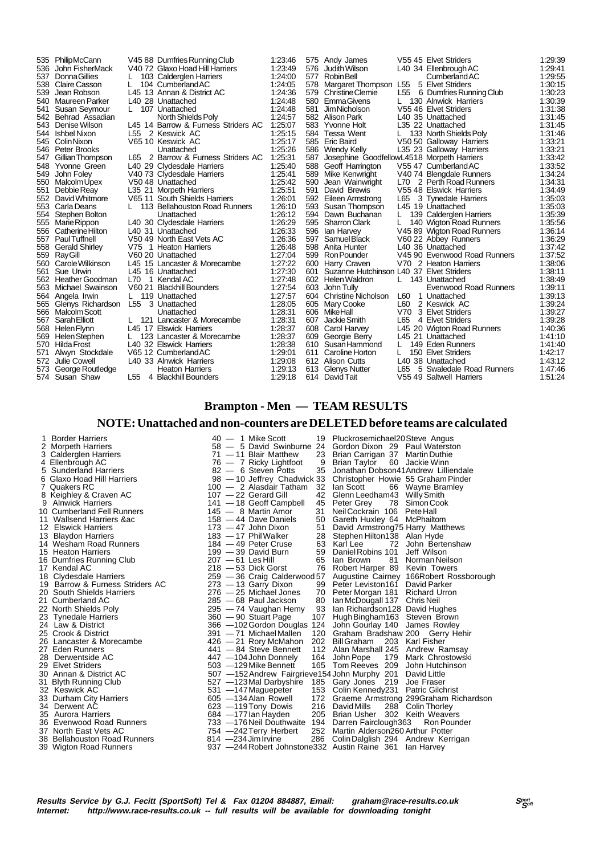|     | 535 Philip McCann     |                 | V45 88 Dumfries Running Club        | 1:23:46 |     | 575 Andy James                             |     | V55 45 Elvet Striders        | 1.29.39 |
|-----|-----------------------|-----------------|-------------------------------------|---------|-----|--------------------------------------------|-----|------------------------------|---------|
| 536 | John FisherMack       |                 | V40 72 Glaxo Hoad Hill Harriers     | 1:23:49 |     | 576 Judith Wilson                          |     | L40 34 Ellenbrough AC        | 1:29:41 |
| 537 | <b>Donna Gillies</b>  |                 | 103 Calderglen Harriers             | 1:24:00 | 577 | Robin Bell                                 |     | <b>Cumberland AC</b>         | 1:29:55 |
| 538 | Claire Casson         |                 | 104 Cumberland AC                   | 1:24:05 |     | 578 Margaret Thompson L55                  |     | 5 Elvet Striders             | 1:30:15 |
| 539 | Jean Robson           |                 | L45 13 Annan & District AC          | 1:24:36 | 579 | <b>Christine Clemie</b>                    |     | L55 6 Dumfries Running Club  | 1:30:23 |
| 540 | Maureen Parker        |                 | L40 28 Unattached                   | 1:24:48 | 580 | <b>EmmaGivens</b>                          |     | 130 Alnwick Harriers         | 1:30:39 |
| 541 | Susan Seymour         | L.              | 107 Unattached                      | 1.24.48 | 581 | Jim Nicholson                              |     | V55 46 Elvet Striders        | 1:31:38 |
| 542 | Behrad Assadian       |                 | North Shields Poly                  | 1:24:57 | 582 | Alison Park                                |     | L40 35 Unattached            | 1:31:45 |
| 543 | Denise Wilson         |                 | L45 14 Barrow & Furness Striders AC | 1:25:07 |     | 583 Yvonne Holt                            |     | L35 22 Unattached            | 1:31:45 |
|     | 544 Ishbel Nixon      |                 | L55 2 Keswick AC                    | 1:25:15 |     | 584 Tessa Went                             |     | 133 North Shields Poly       | 1:31:46 |
|     | 545 Colin Nixon       |                 | V65 10 Keswick AC                   | 1:25:17 |     | 585 Eric Baird                             |     | V50 50 Galloway Harriers     | 1:33:21 |
|     | 546 Peter Brooks      |                 | Unattached                          | 1:25:26 |     | 586 Wendy Kelly                            |     | L35 23 Galloway Harriers     | 1:33:21 |
| 547 | Gillian Thompson      |                 | L65 2 Barrow & Furness Striders AC  | 1:25.31 | 587 | Josephine GoodfellowL4518 Morpeth Harriers |     |                              | 1.33.42 |
| 548 | Yvonne Green          |                 | L40 29 Clydesdale Harriers          | 1:25.40 | 588 | Geoff Harrington                           |     | V55 47 Cumberland AC         | 1:33:52 |
| 549 | John Folev            |                 | V40 73 Clydesdale Harriers          | 1:25:41 | 589 | Mike Kenwright                             |     | V40 74 Blengdale Runners     | 1:34:24 |
| 550 | Malcolm Upex          |                 | V50 48 Unattached                   | 1:25:42 | 590 | Jean Wainwright                            |     | L70 2 Perth Road Runners     | 1:34:31 |
| 551 | Debbie Reay           |                 | L35 21 Morpeth Harriers             | 1:25:51 | 591 | David Brewis                               |     | V55 48 Elswick Harriers      | 1:34:49 |
| 552 | David Whitmore        |                 | V65 11 South Shields Harriers       | 1:26:01 |     | 592 Eileen Armstrong                       | L65 | 3 Tynedale Harriers          | 1:35:03 |
|     | 553 Carla Deans       |                 | L 113 Bellahouston Road Runners     | 1:26:10 |     | 593 Susan Thompson                         |     | L45 19 Unattached            | 1:35:03 |
| 554 | Stephen Bolton        |                 | Unattached                          | 1:26:12 |     | 594 Dawn Buchanan                          |     | 139 Calderglen Harriers      | 1:35:39 |
| 555 | Marie Rippon          |                 | L40 30 Clydesdale Harriers          | 1:26:29 |     | 595 Sharron Clark                          |     | 140 Wigton Road Runners      | 1:35:56 |
| 556 | Catherine Hilton      |                 | L40 31 Unattached                   | 1:26:33 |     | 596 Ian Harvey                             |     | V45 89 Wigton Road Runners   | 1:36:14 |
| 557 | <b>Paul Tuffnell</b>  |                 | V50 49 North East Vets AC           | 1:26:36 | 597 | Samuel Black                               |     | V60 22 Abbey Runners         | 1:36:29 |
| 558 | <b>Gerald Shirley</b> |                 | V75 1 Heaton Harriers               | 1:26:48 |     | 598 Anita Hunter                           |     | L40 36 Unattached            | 1:37:42 |
|     | 559 RayGill           |                 | V60 20 Unattached                   | 1:27:04 |     | 599 Ron Pounder                            |     | V45 90 Evenwood Road Runners | 1:37:52 |
| 560 | Carole Wilkinson      |                 | L45 15 Lancaster & Morecambe        | 1:27:22 |     | 600 Harry Craven                           |     | V70 2 Heaton Harriers        | 1:38:06 |
| 561 | Sue Urwin             |                 | L45 16 Unattached                   | 1:27:30 | 601 | Suzanne Hutchinson L40 37 Elvet Striders   |     |                              | 1:38:11 |
| 562 | Heather Goodman       | L70             | 1 Kendal AC                         | 1:27:48 |     | 602 Helen Waldron                          |     | L 143 Unattached             | 1:38:49 |
| 563 | Michael Swainson      |                 | V60 21 Blackhill Bounders           | 1:27:54 | 603 | John Tully                                 |     | Evenwood Road Runners        | 1:39:11 |
|     | 564 Angela Irwin      |                 | L 119 Unattached                    | 1:27:57 |     | 604 Christine Nicholson                    | L60 | 1 Unattached                 | 1:39:13 |
|     | 565 Glenys Richardson | L <sub>55</sub> | 3 Unattached                        | 1:28:05 |     | 605 Mary Cooke                             | L60 | 2 Keswick AC                 | 1.39.24 |
| 566 | Malcolm Scott         |                 | Unattached                          | 1:28:31 |     | 606 MikeHall                               | V70 | 3 Elvet Striders             | 1:39:27 |
| 567 | Sarah Elliott         |                 | 121 Lancaster & Morecambe           | 1.28.31 | 607 | Jackie Smith                               | L65 | 4 Elvet Striders             | 1:39.28 |
| 568 | Helen Flynn           |                 | L45 17 Elswick Harriers             | 1:28:37 |     | 608 Carol Harvey                           |     | L45 20 Wigton Road Runners   | 1:40:36 |
| 569 | Helen Stephen         |                 | 123 Lancaster & Morecambe           | 1:28:37 | 609 | Georgie Berry                              |     | L45 21 Unattached            | 1:41:10 |
| 570 | Hilda Frost           |                 | L40 32 Elswick Harriers             | 1:28:38 |     | 610 Susan Hammond                          |     | 149 Eden Runners             | 1:41:40 |
| 571 | Alwyn Stockdale       |                 | V65 12 Cumberland AC                | 1:29:01 | 611 | Caroline Horton                            |     | 150 Elvet Striders           | 1:42:17 |
| 572 | Julie Cowell          |                 | L40 33 Alnwick Harriers             | 1:29:08 |     | 612 Alison Cutts                           |     | L40 38 Unattached            | 1:43:12 |
| 573 | George Routledge      |                 | <b>Heaton Harriers</b>              | 1:29:13 |     | 613 Glenys Nutter                          | L65 | 5 Swaledale Road Runners     | 1:47:46 |
|     | 574 Susan Shaw        | L55             | 4 Blackhill Bounders                | 1:29:18 |     | 614 David Tait                             |     | V55 49 Saltwell Harriers     | 1:51:24 |
|     |                       |                 |                                     |         |     |                                            |     |                              |         |

# **Brampton - Men — TEAM RESULTS**

# **NOTE: Unattached and non-counters are DELETED before teams are calculated**

| 1 Border Harriers<br>2 Morpeth Harriers<br>3 Calderglen Harriers<br>4 Ellenbrough AC<br>5 Sunderland Harriers<br>6 Glaxo Hoad Hill Harriers<br>7 Quakers RC<br>8 Keighley & Craven AC<br>9 Alnwick Harriers<br>10 Cumberland Fell Runners<br>11 Wallsend Harriers ∾<br>12 Elswick Harriers<br>13 Blaydon Harriers<br>14 Wesham Road Runners<br>15 Heaton Harriers<br>16 Dumfries Running Club<br>17 Kendal AC<br>18 Clydesdale Harriers<br>19 Barrow & Furness Striders AC<br>20 South Shields Harriers<br>21 Cumberland AC<br>22 North Shields Poly<br>23 Tynedale Harriers<br>24 Law & District<br>25 Crook & District<br>26 Lancaster & Morecambe<br>27 Eden Runners<br>28 Derwentside AC<br>29 Elvet Striders<br>30 Annan & District AC<br>31 Blyth Running Club<br>32 Keswick AC<br>33 Durham City Harriers<br>34 Derwent AC<br>35 Aurora Harriers<br>36 Evenwood Road Runners<br>37 North East Vets AC<br>38 Bellahouston Road Runners<br>39 Wigton Road Runners | $40 - 1$ Mike Scott<br>$71 - 11$ Blair Matthew<br>23<br>76 - 7 Ricky Lightfoot<br>9<br>35<br>82 - 6 Steven Potts<br>98 - 10 Jeffrey Chadwick 33<br>100 - 2 Alasdair Tatham<br>32<br>107 - 22 Gerard Gill<br>42<br>45<br>141 - 18 Geoff Campbell<br>145 - 8 Martin Amor<br>31<br>$158 - 44$ Dave Daniels<br>50<br>51<br>$173 - 47$ John Dixon<br>$183 - 17$ Phil Walker<br>184 - 49 Peter Cruse<br>$199 - 39$ David Burn<br>$207 - 61$ Les Hill<br>$218 - 53$ Dick Gorst<br>259 - 36 Craig Calderwood 57<br>273 - 13 Garry Dixon<br>99<br>276 - 25 Michael Jones<br>285 - 68 Paul Jackson<br>295 - 74 Vaughan Hemy<br>360 - 90 Stuart Page<br>366 - 102 Gordon Douglas 124<br>391 - 71 Michael Mallen<br>120<br>$426 - 21$ Rory McMahon<br>441 - 84 Steve Bennett<br>447 -104 John Donnely<br>164<br>503 - 129 Mike Bennett<br>507 -152 Andrew Fairgrieve 154 John Murphy 201 David Little<br>527 -123 Mal Darbyshire<br>531 - 147 Maguepeter<br>605 - 134 Alan Rowell<br>623 -119 Tony Dowis<br>684 - 177 lan Hayden<br>733 - 176 Neil Douthwaite 194 Darren Fairclough 363<br>754 - 242 Terry Herbert<br>$814 - 234$ Jim Irvine<br>286<br>937 - 244 Robert Johnstone 332 Austin Raine 361 | 19 Pluckrosemichael20Steve Angus<br>58 - 5 David Swinburne 24 Gordon Dixon 29 Paul Waterston<br>Brian Carrigan 37 Martin Duthie<br>Brian Taylor<br>60 Jackie Winn<br>Jonathan Dobson41Andrew Lilliendale<br>Christopher Howie 55 Graham Pinder<br>lan Scott<br>66 Wayne Bramley<br>Glenn Leedham43 Willy Smith<br>78 Simon Cook<br>Peter Grev<br>Neil Cockrain 106 Pete Hall<br>Gareth Huxley 64 McPhailtom<br>David Armstrong75 Harry Matthews<br>28 Stephen Hilton138 Alan Hyde<br>63 Karl Lee<br>72 John Bertenshaw<br>Jeff Wilson<br>59 Daniel Robins 101<br>65 Ian Brown<br>81<br>Norman Neilson<br>76 Robert Harper 89 Kevin Towers<br>Augustine Cairney 166Robert Rossborough<br>Peter Leviston161<br>David Parker<br>70 Peter Morgan 181 Richard Urron<br>80 Ian McDougall 137 Chris Neil<br>93 Ian Richardson 128 David Hughes<br>107 Hugh Bingham 163 Steven Brown<br>John Gourlay 140<br>James Rowley<br>Graham Bradshaw 200 Gerry Hehir<br>202 Bill Graham<br>203 Karl Fisher<br>112 Alan Marshall 245 Andrew Ramsay<br>179 Mark Chrostowski<br>John Pope<br>165 Tom Reeves 209 John Hutchinson<br>185 Gary Jones 219<br>Joe Fraser<br>153 Colin Kennedy 231 Patric Gilchrist<br>172 Graeme Armstrong 299Graham Richardson<br>216 David Mills<br>288 Colin Thorley<br>205 Brian Usher 302 Keith Weavers<br>Ron Pounder<br>252 Martin Alderson260 Arthur Potter<br>Colin Dalglish 294 Andrew Kerrigan<br>lan Harvev |
|------------------------------------------------------------------------------------------------------------------------------------------------------------------------------------------------------------------------------------------------------------------------------------------------------------------------------------------------------------------------------------------------------------------------------------------------------------------------------------------------------------------------------------------------------------------------------------------------------------------------------------------------------------------------------------------------------------------------------------------------------------------------------------------------------------------------------------------------------------------------------------------------------------------------------------------------------------------------|--------------------------------------------------------------------------------------------------------------------------------------------------------------------------------------------------------------------------------------------------------------------------------------------------------------------------------------------------------------------------------------------------------------------------------------------------------------------------------------------------------------------------------------------------------------------------------------------------------------------------------------------------------------------------------------------------------------------------------------------------------------------------------------------------------------------------------------------------------------------------------------------------------------------------------------------------------------------------------------------------------------------------------------------------------------------------------------------------------------------------------------------------------------------------------------------|--------------------------------------------------------------------------------------------------------------------------------------------------------------------------------------------------------------------------------------------------------------------------------------------------------------------------------------------------------------------------------------------------------------------------------------------------------------------------------------------------------------------------------------------------------------------------------------------------------------------------------------------------------------------------------------------------------------------------------------------------------------------------------------------------------------------------------------------------------------------------------------------------------------------------------------------------------------------------------------------------------------------------------------------------------------------------------------------------------------------------------------------------------------------------------------------------------------------------------------------------------------------------------------------------------------------------------------------------------------------------------------------------------------------------------|
|------------------------------------------------------------------------------------------------------------------------------------------------------------------------------------------------------------------------------------------------------------------------------------------------------------------------------------------------------------------------------------------------------------------------------------------------------------------------------------------------------------------------------------------------------------------------------------------------------------------------------------------------------------------------------------------------------------------------------------------------------------------------------------------------------------------------------------------------------------------------------------------------------------------------------------------------------------------------|--------------------------------------------------------------------------------------------------------------------------------------------------------------------------------------------------------------------------------------------------------------------------------------------------------------------------------------------------------------------------------------------------------------------------------------------------------------------------------------------------------------------------------------------------------------------------------------------------------------------------------------------------------------------------------------------------------------------------------------------------------------------------------------------------------------------------------------------------------------------------------------------------------------------------------------------------------------------------------------------------------------------------------------------------------------------------------------------------------------------------------------------------------------------------------------------|--------------------------------------------------------------------------------------------------------------------------------------------------------------------------------------------------------------------------------------------------------------------------------------------------------------------------------------------------------------------------------------------------------------------------------------------------------------------------------------------------------------------------------------------------------------------------------------------------------------------------------------------------------------------------------------------------------------------------------------------------------------------------------------------------------------------------------------------------------------------------------------------------------------------------------------------------------------------------------------------------------------------------------------------------------------------------------------------------------------------------------------------------------------------------------------------------------------------------------------------------------------------------------------------------------------------------------------------------------------------------------------------------------------------------------|

| - 17 Phil Walker<br>28<br>Stephen Hilton138<br>Alan Hyde<br>— 49 Peter Cruse<br>— 39 David Burn<br>— 61 Les Hill<br>63<br>Karl Lee<br>72<br>John Bertenshaw<br>59<br>Daniel Robins 101<br>Jeff Wilson<br>65<br>81<br>Norman Neilson<br>lan Brown<br>-53 Dick Gorst<br>76<br>Robert Harper 89<br>Kevin Towers<br>-36 Craig Calderwood 57<br><b>Augustine Cairney</b><br>166Robert Rossboro<br>— 13 Garry Dixon<br>99<br>Peter Leviston161<br>David Parker<br>— 25 Michael Jones<br>70<br>Peter Morgan 181<br><b>Richard Urron</b><br>80<br>-68 Paul Jackson<br>Ian McDougall 137<br>Chris Neil<br>-- 74 Vaughan Hemy<br>-- 90 Stuart Page<br>-- 102 Gordon Douglas<br>-- 71 Michael Mallen<br>93<br>Ian Richardson128<br>David Hughes<br>107<br>Hugh Bingham163<br>Steven Brown<br>124<br>James Rowley<br>John Gourlay 140<br>120<br>Graham Bradshaw<br>200 Gerry Hehir<br>- 21 Rory McMahon<br>202<br>Karl Fisher<br>Bill Graham<br>203<br>-84 Steve Bennett<br>112<br>Alan Marshall 245<br>Andrew Ramsay<br>164<br>179<br>-104 John Donnely<br>John Pope<br>Mark Chrostowski<br>-129 Mike Bennett<br>165<br>Tom Reeves<br>209<br>John Hutchinson<br>-152 Andrew Fairgrieve 154 John Murphy 201<br>-123 Mal Darbyshire 185 Gary Jones 219<br>-147 Maguepeter 153 Colin Kennedy 231<br>-134 Alan Rowell 172 Graeme Armstrong<br>David Little<br>Joe Fraser<br><b>Patric Gilchrist</b><br>Graeme Armstrong 299Graham Richards<br>-119Tony Dowis<br>216<br>David Mills<br>288<br>Colin Thorley<br>—177 lan Hayden<br>205<br>302<br>Keith Weavers<br><b>Brian Usher</b><br>-176 Neil Douthwaite<br>194<br>Darren Fairclough363<br>Ron Pounder<br>-242 Terry Herbert<br>-234 Jim Irvine<br>252<br>Martin Alderson260 Arthur Potter<br>286<br>Colin Dalglish 294<br>Andrew Kerrigan<br>-244 Robert Johnstone332<br>Austin Raine 361<br>lan Harvey |
|---------------------------------------------------------------------------------------------------------------------------------------------------------------------------------------------------------------------------------------------------------------------------------------------------------------------------------------------------------------------------------------------------------------------------------------------------------------------------------------------------------------------------------------------------------------------------------------------------------------------------------------------------------------------------------------------------------------------------------------------------------------------------------------------------------------------------------------------------------------------------------------------------------------------------------------------------------------------------------------------------------------------------------------------------------------------------------------------------------------------------------------------------------------------------------------------------------------------------------------------------------------------------------------------------------------------------------------------------------------------------------------------------------------------------------------------------------------------------------------------------------------------------------------------------------------------------------------------------------------------------------------------------------------------------------------------------------------------------------------------------------------------------------------------------------------------------------------------|
|---------------------------------------------------------------------------------------------------------------------------------------------------------------------------------------------------------------------------------------------------------------------------------------------------------------------------------------------------------------------------------------------------------------------------------------------------------------------------------------------------------------------------------------------------------------------------------------------------------------------------------------------------------------------------------------------------------------------------------------------------------------------------------------------------------------------------------------------------------------------------------------------------------------------------------------------------------------------------------------------------------------------------------------------------------------------------------------------------------------------------------------------------------------------------------------------------------------------------------------------------------------------------------------------------------------------------------------------------------------------------------------------------------------------------------------------------------------------------------------------------------------------------------------------------------------------------------------------------------------------------------------------------------------------------------------------------------------------------------------------------------------------------------------------------------------------------------------------|